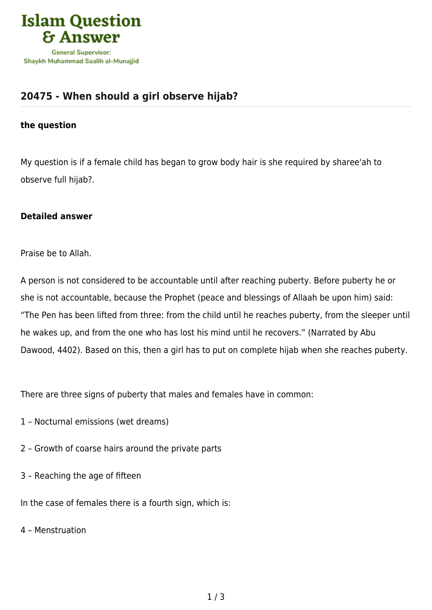

## **[20475 - When should a girl observe hijab?](https://islamqa.com/en/answers/20475/when-should-a-girl-observe-hijab)**

## **the question**

My question is if a female child has began to grow body hair is she required by sharee'ah to observe full hijab?.

## **Detailed answer**

Praise be to Allah.

A person is not considered to be accountable until after reaching puberty. Before puberty he or she is not accountable, because the Prophet (peace and blessings of Allaah be upon him) said: "The Pen has been lifted from three: from the child until he reaches puberty, from the sleeper until he wakes up, and from the one who has lost his mind until he recovers." (Narrated by Abu Dawood, 4402). Based on this, then a girl has to put on complete hijab when she reaches puberty.

There are three signs of puberty that males and females have in common:

- 1 Nocturnal emissions (wet dreams)
- 2 Growth of coarse hairs around the private parts
- 3 Reaching the age of fifteen

In the case of females there is a fourth sign, which is:

4 – Menstruation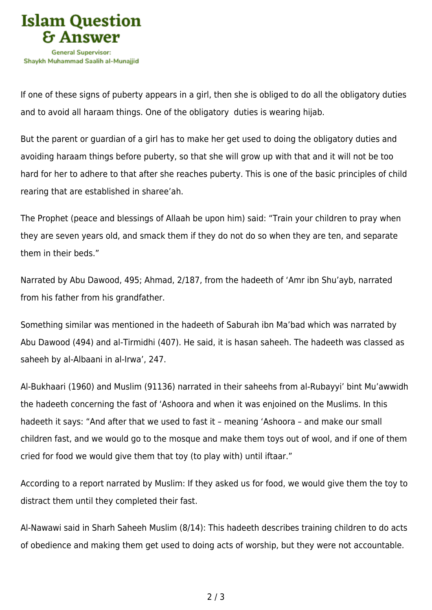

If one of these signs of puberty appears in a girl, then she is obliged to do all the obligatory duties and to avoid all haraam things. One of the obligatory duties is wearing hijab.

But the parent or guardian of a girl has to make her get used to doing the obligatory duties and avoiding haraam things before puberty, so that she will grow up with that and it will not be too hard for her to adhere to that after she reaches puberty. This is one of the basic principles of child rearing that are established in sharee'ah.

The Prophet (peace and blessings of Allaah be upon him) said: "Train your children to pray when they are seven years old, and smack them if they do not do so when they are ten, and separate them in their beds."

Narrated by Abu Dawood, 495; Ahmad, 2/187, from the hadeeth of 'Amr ibn Shu'ayb, narrated from his father from his grandfather.

Something similar was mentioned in the hadeeth of Saburah ibn Ma'bad which was narrated by Abu Dawood (494) and al-Tirmidhi (407). He said, it is hasan saheeh. The hadeeth was classed as saheeh by al-Albaani in al-Irwa', 247.

Al-Bukhaari (1960) and Muslim (91136) narrated in their saheehs from al-Rubayyi' bint Mu'awwidh the hadeeth concerning the fast of 'Ashoora and when it was enjoined on the Muslims. In this hadeeth it says: "And after that we used to fast it – meaning 'Ashoora – and make our small children fast, and we would go to the mosque and make them toys out of wool, and if one of them cried for food we would give them that toy (to play with) until iftaar."

According to a report narrated by Muslim: If they asked us for food, we would give them the toy to distract them until they completed their fast.

Al-Nawawi said in Sharh Saheeh Muslim (8/14): This hadeeth describes training children to do acts of obedience and making them get used to doing acts of worship, but they were not accountable.